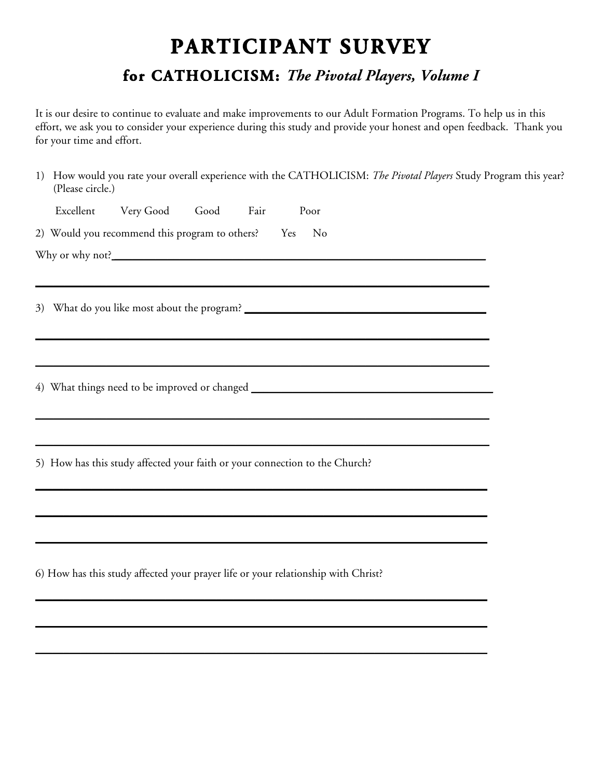## **PARTICIPANT SURVEY for CATHOLICISM:** *The Pivotal Players, Volume I*

It is our desire to continue to evaluate and make improvements to our Adult Formation Programs. To help us in this effort, we ask you to consider your experience during this study and provide your honest and open feedback. Thank you for your time and effort.

1) How would you rate your overall experience with the CATHOLICISM: *The Pivotal Players* Study Program this year? (Please circle.)

| Excellent Very Good Good Fair<br>Poor                                                                                                                                                                                         |
|-------------------------------------------------------------------------------------------------------------------------------------------------------------------------------------------------------------------------------|
| 2) Would you recommend this program to others? Yes<br>$\mathbf{N}$ o                                                                                                                                                          |
|                                                                                                                                                                                                                               |
| ,我们也不会有什么。""我们的人,我们也不会有什么?""我们的人,我们也不会有什么?""我们的人,我们也不会有什么?""我们的人,我们也不会有什么?""我们的人                                                                                                                                              |
|                                                                                                                                                                                                                               |
|                                                                                                                                                                                                                               |
| ,我们也不会有什么。""我们的人,我们也不会有什么?""我们的人,我们也不会有什么?""我们的人,我们也不会有什么?""我们的人,我们也不会有什么?""我们的人                                                                                                                                              |
| the control of the control of the control of the control of the control of the control of the control of the control of the control of the control of the control of the control of the control of the control of the control |
| 4) What things need to be improved or changed __________________________________                                                                                                                                              |
| ,我们也不会有什么。""我们的人,我们也不会有什么?""我们的人,我们也不会有什么?""我们的人,我们也不会有什么?""我们的人,我们也不会有什么?""我们的人                                                                                                                                              |
|                                                                                                                                                                                                                               |
| 5) How has this study affected your faith or your connection to the Church?                                                                                                                                                   |
|                                                                                                                                                                                                                               |
|                                                                                                                                                                                                                               |
|                                                                                                                                                                                                                               |
| 6) How has this study affected your prayer life or your relationship with Christ?                                                                                                                                             |
|                                                                                                                                                                                                                               |

\_\_\_\_\_\_\_\_\_\_\_\_\_\_\_\_\_\_\_\_\_\_\_\_\_\_\_\_\_\_\_\_\_\_\_\_\_\_\_\_\_\_\_\_\_\_\_\_\_\_\_\_\_\_\_\_\_\_\_\_\_\_\_\_\_\_\_\_\_\_\_\_\_\_\_\_\_\_\_\_

\_\_\_\_\_\_\_\_\_\_\_\_\_\_\_\_\_\_\_\_\_\_\_\_\_\_\_\_\_\_\_\_\_\_\_\_\_\_\_\_\_\_\_\_\_\_\_\_\_\_\_\_\_\_\_\_\_\_\_\_\_\_\_\_\_\_\_\_\_\_\_\_\_\_\_\_\_\_\_\_